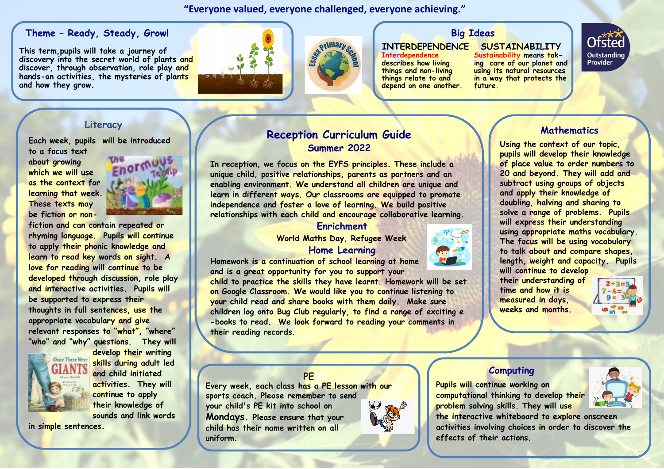#### **"Everyone valued, everyone challenged, everyone achieving."**

#### **Theme – Ready, Steady, Grow!**

**This term,pupils will take a journey of discovery into the secret world of plants and discover, through observation, role play and hands-on activities, the mysteries of plants and how they grow.**





### **Big Ideas**

#### **INTERDEPENDENCE**

**Interdependence describes how living things and non-living things relate to and depend on one another.** 

**SUSTAINABILITY Sustainability means taking care of our planet and using its natural resources in a way that protects the future.**



**Each week, pupils will be introduced** 

**to a focus text about growing which we will use as the context for learning that week. These texts may be fiction or non-**



**fiction and can contain repeated or rhyming language. Pupils will continue to apply their phonic knowledge and learn to read key words on sight. A love for reading will continue to be developed through discussion, role play and interactive activities. Pupils will be supported to express their thoughts in full sentences, use the appropriate vocabulary and give relevant responses to "what", "where" "who" and "why" questions. They will** 



**develop their writing skills during adult led and child initiated activities. They will continue to apply their knowledge of sounds and link words** 

**in simple sentences.** 

## **Reception Curriculum Guide Mathematics Literacy Summer 2022**

**In reception, we focus on the EYFS principles. These include a unique child, positive relationships, parents as partners and an enabling environment. We understand all children are unique and learn in different ways. Our classrooms are equipped to promote independence and foster a love of learning. We build positive relationships with each child and encourage collaborative learning.** 

#### **Enrichment**

 **World Maths Day, Refugee Week Home Learning** 



**Homework is a continuation of school learning at home and is a great opportunity for you to support your** 

**child to practice the skills they have learnt. Homework will be set on Google Classroom. We would like you to continue listening to your child read and share books with them daily. Make sure children log onto Bug Club regularly, to find a range of exciting e -books to read. We look forward to reading your comments in their reading records.**



**will continue to develop their understanding of time and how it is measured in days, weeks and months.**

**Using the context of our topic, pupils will develop their knowledge of place value to order numbers to 20 and beyond. They will add and subtract using groups of objects and apply their knowledge of doubling, halving and sharing to solve a range of problems. Pupils will express their understanding using appropriate maths vocabulary. The focus will be using vocabulary to talk about and compare shapes, length, weight and capacity. Pupils** 



#### **Computing**

**Pupils will continue working on computational thinking to develop their problem solving skills. They will use** 



#### **the interactive whiteboard to explore onscreen activities involving choices in order to discover the effects of their actions.**

### **PE**

**Every week, each class has a PE lesson with our sports coach. Please remember to send your child's PE kit into school on Mondays. Please ensure that your child has their name written on all uniform.**